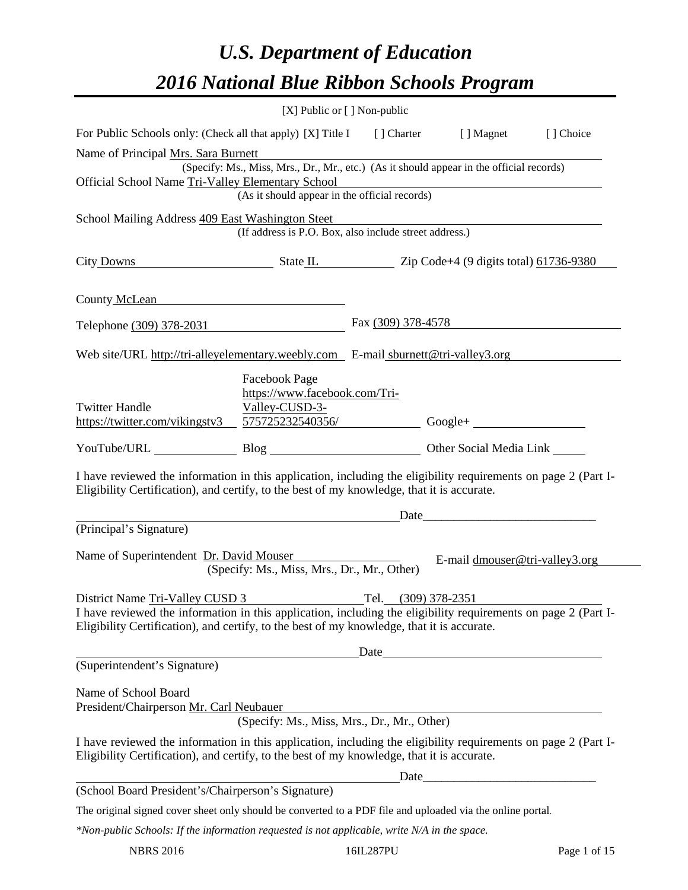# *U.S. Department of Education 2016 National Blue Ribbon Schools Program*

|                                                                                                                                                                                                                               | [X] Public or [] Non-public                                          |                      |                                |  |
|-------------------------------------------------------------------------------------------------------------------------------------------------------------------------------------------------------------------------------|----------------------------------------------------------------------|----------------------|--------------------------------|--|
| For Public Schools only: (Check all that apply) [X] Title I [] Charter [] Magnet [] Choice                                                                                                                                    |                                                                      |                      |                                |  |
| Name of Principal Mrs. Sara Burnett<br>(Specify: Ms., Miss, Mrs., Dr., Mr., etc.) (As it should appear in the official records)                                                                                               |                                                                      |                      |                                |  |
| Official School Name Tri-Valley Elementary School                                                                                                                                                                             |                                                                      |                      |                                |  |
|                                                                                                                                                                                                                               | y Elementary School<br>(As it should appear in the official records) |                      |                                |  |
| School Mailing Address 409 East Washington Steet                                                                                                                                                                              |                                                                      |                      |                                |  |
|                                                                                                                                                                                                                               | (If address is P.O. Box, also include street address.)               |                      |                                |  |
| City Downs State IL Zip Code+4 (9 digits total) 61736-9380                                                                                                                                                                    |                                                                      |                      |                                |  |
| County McLean expansion of the country of the country of the country of the country of the country of the country of the country of the country of the country of the country of the country of the country of the country of |                                                                      |                      |                                |  |
| Telephone (309) 378-2031                                                                                                                                                                                                      |                                                                      | Fax $(309)$ 378-4578 |                                |  |
| Web site/URL http://tri-alleyelementary.weebly.com $E$ -mail sburnett@tri-valley3.org                                                                                                                                         |                                                                      |                      |                                |  |
| <b>Twitter Handle</b><br>https://twitter.com/vikingstv3 575725232540356/ Google+                                                                                                                                              | Facebook Page<br>https://www.facebook.com/Tri-<br>Valley-CUSD-3-     |                      |                                |  |
| YouTube/URL Blog Blog Other Social Media Link                                                                                                                                                                                 |                                                                      |                      |                                |  |
| I have reviewed the information in this application, including the eligibility requirements on page 2 (Part I-<br>Eligibility Certification), and certify, to the best of my knowledge, that it is accurate.                  |                                                                      |                      |                                |  |
|                                                                                                                                                                                                                               |                                                                      |                      |                                |  |
| (Principal's Signature)                                                                                                                                                                                                       |                                                                      |                      |                                |  |
| Name of Superintendent Dr. David Mouser                                                                                                                                                                                       | (Specify: Ms., Miss, Mrs., Dr., Mr., Other)                          |                      | E-mail dmouser@tri-valley3.org |  |
| District Name Tri-Valley CUSD 3                                                                                                                                                                                               |                                                                      | Tel. (309) 378-2351  |                                |  |
| I have reviewed the information in this application, including the eligibility requirements on page 2 (Part I-<br>Eligibility Certification), and certify, to the best of my knowledge, that it is accurate.                  |                                                                      |                      |                                |  |
| Date                                                                                                                                                                                                                          |                                                                      |                      |                                |  |
| (Superintendent's Signature)                                                                                                                                                                                                  |                                                                      |                      |                                |  |
| Name of School Board<br>President/Chairperson Mr. Carl Neubauer                                                                                                                                                               |                                                                      |                      |                                |  |
|                                                                                                                                                                                                                               | (Specify: Ms., Miss, Mrs., Dr., Mr., Other)                          |                      |                                |  |
| I have reviewed the information in this application, including the eligibility requirements on page 2 (Part I-<br>Eligibility Certification), and certify, to the best of my knowledge, that it is accurate.                  |                                                                      |                      |                                |  |
| (School Board President's/Chairperson's Signature)                                                                                                                                                                            |                                                                      |                      | Date                           |  |
| The original signed cover sheet only should be converted to a PDF file and uploaded via the online portal.                                                                                                                    |                                                                      |                      |                                |  |
| $*$ Non-public Schools: If the information requested is not applicable, write $N/A$ in the space.                                                                                                                             |                                                                      |                      |                                |  |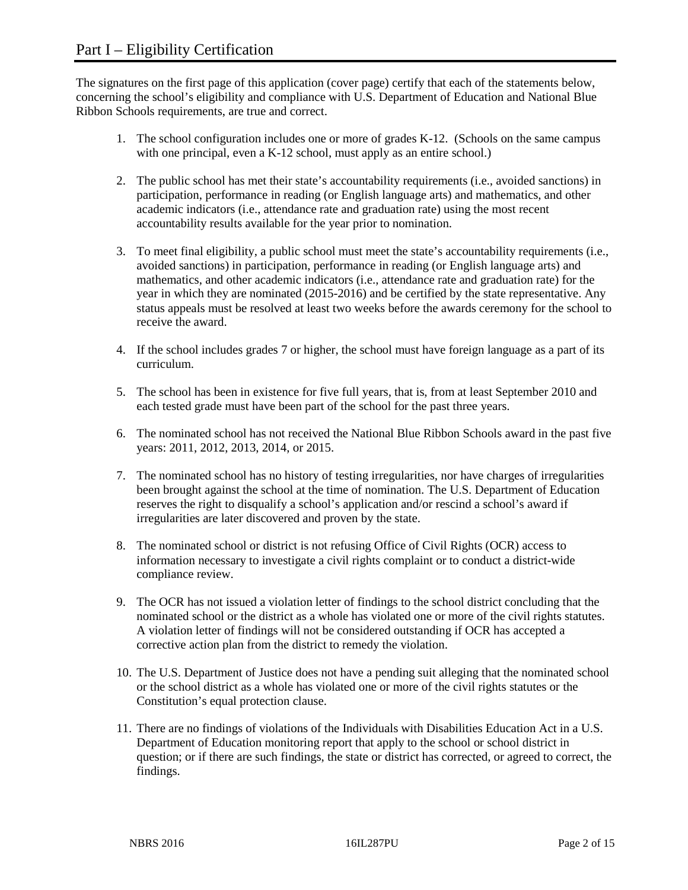The signatures on the first page of this application (cover page) certify that each of the statements below, concerning the school's eligibility and compliance with U.S. Department of Education and National Blue Ribbon Schools requirements, are true and correct.

- 1. The school configuration includes one or more of grades K-12. (Schools on the same campus with one principal, even a K-12 school, must apply as an entire school.)
- 2. The public school has met their state's accountability requirements (i.e., avoided sanctions) in participation, performance in reading (or English language arts) and mathematics, and other academic indicators (i.e., attendance rate and graduation rate) using the most recent accountability results available for the year prior to nomination.
- 3. To meet final eligibility, a public school must meet the state's accountability requirements (i.e., avoided sanctions) in participation, performance in reading (or English language arts) and mathematics, and other academic indicators (i.e., attendance rate and graduation rate) for the year in which they are nominated (2015-2016) and be certified by the state representative. Any status appeals must be resolved at least two weeks before the awards ceremony for the school to receive the award.
- 4. If the school includes grades 7 or higher, the school must have foreign language as a part of its curriculum.
- 5. The school has been in existence for five full years, that is, from at least September 2010 and each tested grade must have been part of the school for the past three years.
- 6. The nominated school has not received the National Blue Ribbon Schools award in the past five years: 2011, 2012, 2013, 2014, or 2015.
- 7. The nominated school has no history of testing irregularities, nor have charges of irregularities been brought against the school at the time of nomination. The U.S. Department of Education reserves the right to disqualify a school's application and/or rescind a school's award if irregularities are later discovered and proven by the state.
- 8. The nominated school or district is not refusing Office of Civil Rights (OCR) access to information necessary to investigate a civil rights complaint or to conduct a district-wide compliance review.
- 9. The OCR has not issued a violation letter of findings to the school district concluding that the nominated school or the district as a whole has violated one or more of the civil rights statutes. A violation letter of findings will not be considered outstanding if OCR has accepted a corrective action plan from the district to remedy the violation.
- 10. The U.S. Department of Justice does not have a pending suit alleging that the nominated school or the school district as a whole has violated one or more of the civil rights statutes or the Constitution's equal protection clause.
- 11. There are no findings of violations of the Individuals with Disabilities Education Act in a U.S. Department of Education monitoring report that apply to the school or school district in question; or if there are such findings, the state or district has corrected, or agreed to correct, the findings.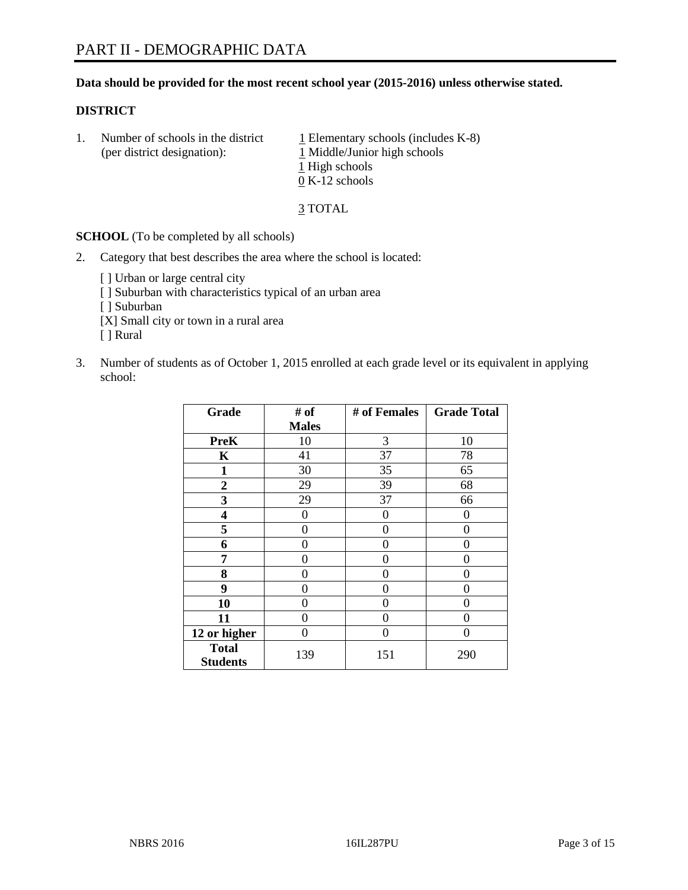## **Data should be provided for the most recent school year (2015-2016) unless otherwise stated.**

## **DISTRICT**

1. Number of schools in the district  $1$  Elementary schools (includes K-8) (per district designation): 1 Middle/Junior high schools 1 High schools 0 K-12 schools

3 TOTAL

**SCHOOL** (To be completed by all schools)

- 2. Category that best describes the area where the school is located:
	- [] Urban or large central city [ ] Suburban with characteristics typical of an urban area [ ] Suburban [X] Small city or town in a rural area [ ] Rural
- 3. Number of students as of October 1, 2015 enrolled at each grade level or its equivalent in applying school:

| Grade                           | # of         | # of Females | <b>Grade Total</b> |
|---------------------------------|--------------|--------------|--------------------|
|                                 | <b>Males</b> |              |                    |
| <b>PreK</b>                     | 10           | 3            | 10                 |
| K                               | 41           | 37           | 78                 |
| 1                               | 30           | 35           | 65                 |
| $\overline{2}$                  | 29           | 39           | 68                 |
| 3                               | 29           | 37           | 66                 |
| 4                               | $\theta$     | $\theta$     | $\theta$           |
| 5                               | 0            | 0            | 0                  |
| 6                               | 0            | 0            | 0                  |
| 7                               | 0            | 0            | 0                  |
| 8                               | 0            | 0            | 0                  |
| 9                               | 0            | 0            | 0                  |
| 10                              | 0            | 0            | $\theta$           |
| 11                              | 0            | 0            | 0                  |
| 12 or higher                    | 0            | 0            | $\Omega$           |
| <b>Total</b><br><b>Students</b> | 139          | 151          | 290                |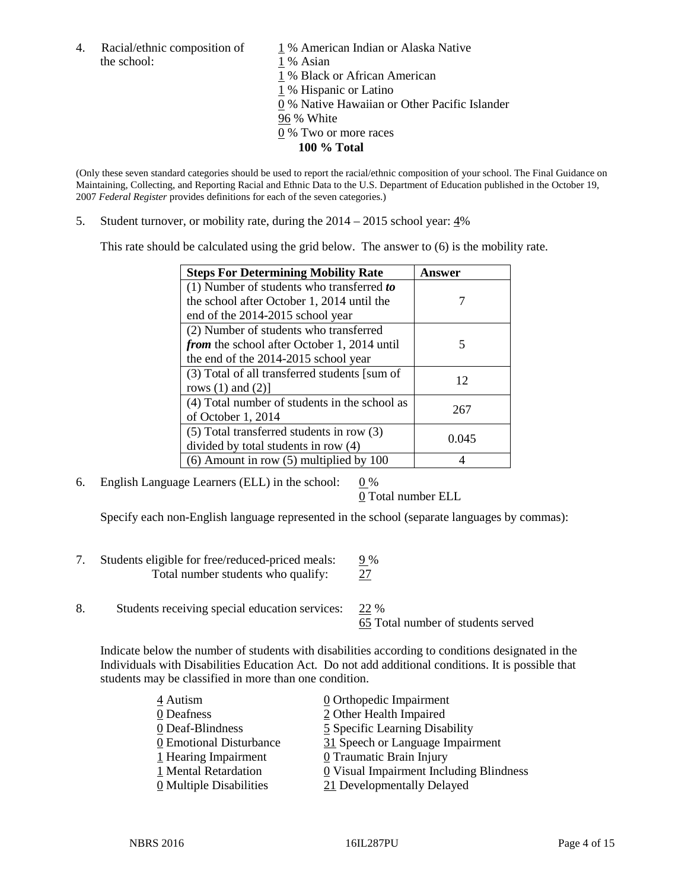4. Racial/ethnic composition of  $1\%$  American Indian or Alaska Native the school: 1 % Asian

 % Black or African American % Hispanic or Latino % Native Hawaiian or Other Pacific Islander 96 % White % Two or more races **100 % Total**

(Only these seven standard categories should be used to report the racial/ethnic composition of your school. The Final Guidance on Maintaining, Collecting, and Reporting Racial and Ethnic Data to the U.S. Department of Education published in the October 19,

5. Student turnover, or mobility rate, during the  $2014 - 2015$  school year:  $4\%$ 

2007 *Federal Register* provides definitions for each of the seven categories.)

This rate should be calculated using the grid below. The answer to (6) is the mobility rate.

| <b>Steps For Determining Mobility Rate</b>         | <b>Answer</b> |  |
|----------------------------------------------------|---------------|--|
| (1) Number of students who transferred to          |               |  |
| the school after October 1, 2014 until the         |               |  |
| end of the 2014-2015 school year                   |               |  |
| (2) Number of students who transferred             |               |  |
| <i>from</i> the school after October 1, 2014 until | 5             |  |
| the end of the 2014-2015 school year               |               |  |
| (3) Total of all transferred students [sum of      | 12            |  |
| rows $(1)$ and $(2)$ ]                             |               |  |
| (4) Total number of students in the school as      | 267           |  |
| of October 1, 2014                                 |               |  |
| (5) Total transferred students in row (3)          | 0.045         |  |
| divided by total students in row (4)               |               |  |
| $(6)$ Amount in row $(5)$ multiplied by 100        |               |  |

6. English Language Learners (ELL) in the school:  $0\%$ 

0 Total number ELL

Specify each non-English language represented in the school (separate languages by commas):

- 7. Students eligible for free/reduced-priced meals:  $\frac{9\%}{27}$ Total number students who qualify:
- 8. Students receiving special education services: 22 %

65 Total number of students served

Indicate below the number of students with disabilities according to conditions designated in the Individuals with Disabilities Education Act. Do not add additional conditions. It is possible that students may be classified in more than one condition.

| 4 Autism                              | 0 Orthopedic Impairment                 |
|---------------------------------------|-----------------------------------------|
| 0 Deafness                            | 2 Other Health Impaired                 |
| 0 Deaf-Blindness                      | 5 Specific Learning Disability          |
| 0 Emotional Disturbance               | 31 Speech or Language Impairment        |
| 1 Hearing Impairment                  | 0 Traumatic Brain Injury                |
| 1 Mental Retardation                  | 0 Visual Impairment Including Blindness |
| $\underline{0}$ Multiple Disabilities | 21 Developmentally Delayed              |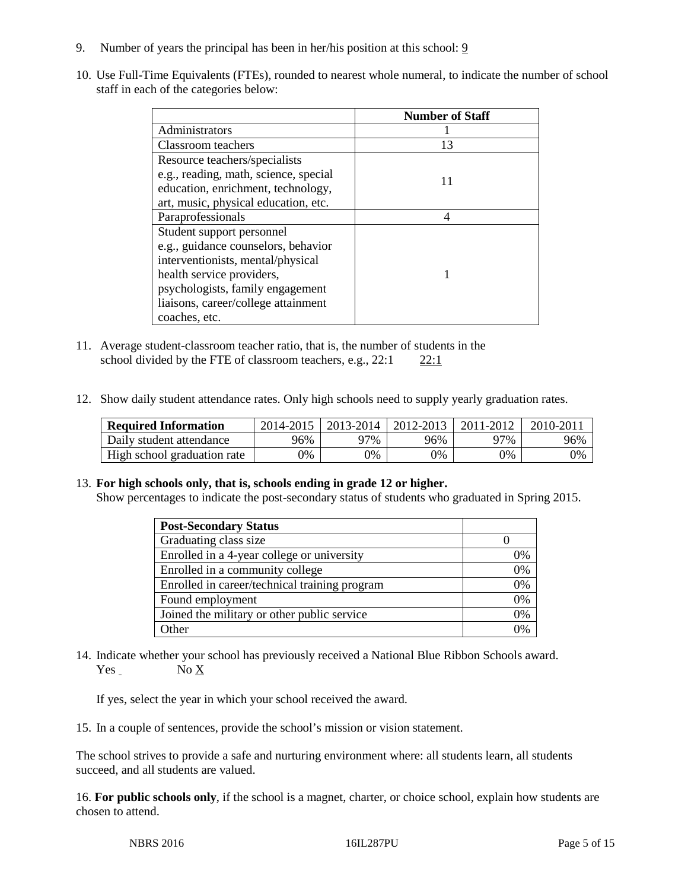- 9. Number of years the principal has been in her/his position at this school: 9
- 10. Use Full-Time Equivalents (FTEs), rounded to nearest whole numeral, to indicate the number of school staff in each of the categories below:

|                                       | <b>Number of Staff</b> |
|---------------------------------------|------------------------|
| Administrators                        |                        |
| Classroom teachers                    | 13                     |
| Resource teachers/specialists         |                        |
| e.g., reading, math, science, special | 11                     |
| education, enrichment, technology,    |                        |
| art, music, physical education, etc.  |                        |
| Paraprofessionals                     |                        |
| Student support personnel             |                        |
| e.g., guidance counselors, behavior   |                        |
| interventionists, mental/physical     |                        |
| health service providers,             |                        |
| psychologists, family engagement      |                        |
| liaisons, career/college attainment   |                        |
| coaches, etc.                         |                        |

- 11. Average student-classroom teacher ratio, that is, the number of students in the school divided by the FTE of classroom teachers, e.g.,  $22:1$  22:1
- 12. Show daily student attendance rates. Only high schools need to supply yearly graduation rates.

| <b>Required Information</b> | 2014-2015 | 2013-2014 | 2012-2013 | 2011-2012 | 2010-2011 |
|-----------------------------|-----------|-----------|-----------|-----------|-----------|
| Daily student attendance    | 96%       | 97%       | 96%       | 97%       | 96%       |
| High school graduation rate | 9%        | 0%        | 0%        | 9%        | 0%        |

## 13. **For high schools only, that is, schools ending in grade 12 or higher.**

Show percentages to indicate the post-secondary status of students who graduated in Spring 2015.

| <b>Post-Secondary Status</b>                  |    |
|-----------------------------------------------|----|
| Graduating class size                         |    |
| Enrolled in a 4-year college or university    | 0% |
| Enrolled in a community college               | 0% |
| Enrolled in career/technical training program | 0% |
| Found employment                              | 0% |
| Joined the military or other public service   | 0% |
| Other                                         | 0/ |

14. Indicate whether your school has previously received a National Blue Ribbon Schools award. Yes No X

If yes, select the year in which your school received the award.

15. In a couple of sentences, provide the school's mission or vision statement.

The school strives to provide a safe and nurturing environment where: all students learn, all students succeed, and all students are valued.

16. **For public schools only**, if the school is a magnet, charter, or choice school, explain how students are chosen to attend.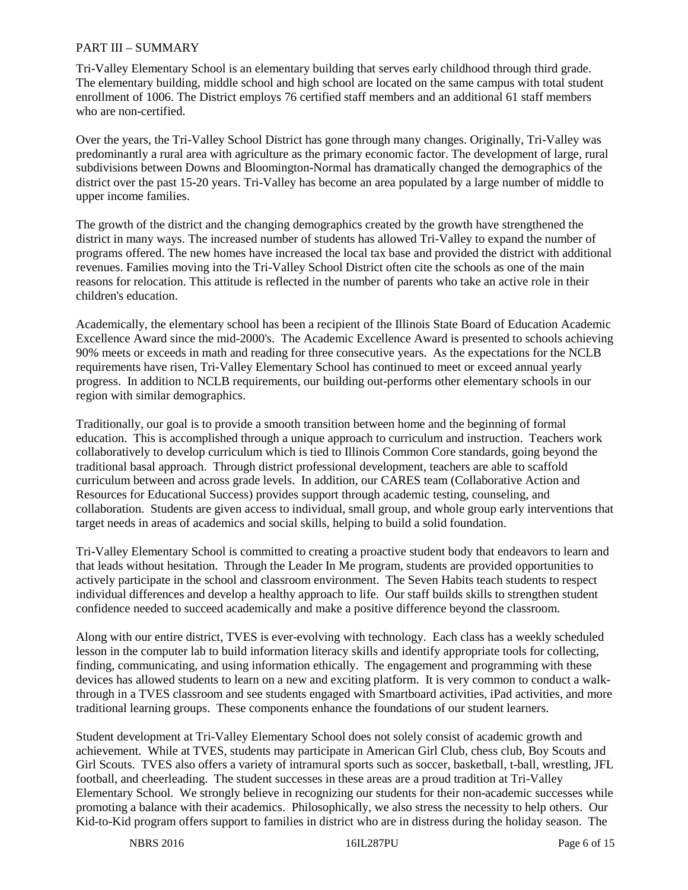## PART III – SUMMARY

Tri-Valley Elementary School is an elementary building that serves early childhood through third grade. The elementary building, middle school and high school are located on the same campus with total student enrollment of 1006. The District employs 76 certified staff members and an additional 61 staff members who are non-certified.

Over the years, the Tri-Valley School District has gone through many changes. Originally, Tri-Valley was predominantly a rural area with agriculture as the primary economic factor. The development of large, rural subdivisions between Downs and Bloomington-Normal has dramatically changed the demographics of the district over the past 15-20 years. Tri-Valley has become an area populated by a large number of middle to upper income families.

The growth of the district and the changing demographics created by the growth have strengthened the district in many ways. The increased number of students has allowed Tri-Valley to expand the number of programs offered. The new homes have increased the local tax base and provided the district with additional revenues. Families moving into the Tri-Valley School District often cite the schools as one of the main reasons for relocation. This attitude is reflected in the number of parents who take an active role in their children's education.

Academically, the elementary school has been a recipient of the Illinois State Board of Education Academic Excellence Award since the mid-2000's. The Academic Excellence Award is presented to schools achieving 90% meets or exceeds in math and reading for three consecutive years. As the expectations for the NCLB requirements have risen, Tri-Valley Elementary School has continued to meet or exceed annual yearly progress. In addition to NCLB requirements, our building out-performs other elementary schools in our region with similar demographics.

Traditionally, our goal is to provide a smooth transition between home and the beginning of formal education. This is accomplished through a unique approach to curriculum and instruction. Teachers work collaboratively to develop curriculum which is tied to Illinois Common Core standards, going beyond the traditional basal approach. Through district professional development, teachers are able to scaffold curriculum between and across grade levels. In addition, our CARES team (Collaborative Action and Resources for Educational Success) provides support through academic testing, counseling, and collaboration. Students are given access to individual, small group, and whole group early interventions that target needs in areas of academics and social skills, helping to build a solid foundation.

Tri-Valley Elementary School is committed to creating a proactive student body that endeavors to learn and that leads without hesitation. Through the Leader In Me program, students are provided opportunities to actively participate in the school and classroom environment. The Seven Habits teach students to respect individual differences and develop a healthy approach to life. Our staff builds skills to strengthen student confidence needed to succeed academically and make a positive difference beyond the classroom.

Along with our entire district, TVES is ever-evolving with technology. Each class has a weekly scheduled lesson in the computer lab to build information literacy skills and identify appropriate tools for collecting, finding, communicating, and using information ethically. The engagement and programming with these devices has allowed students to learn on a new and exciting platform. It is very common to conduct a walkthrough in a TVES classroom and see students engaged with Smartboard activities, iPad activities, and more traditional learning groups. These components enhance the foundations of our student learners.

Student development at Tri-Valley Elementary School does not solely consist of academic growth and achievement. While at TVES, students may participate in American Girl Club, chess club, Boy Scouts and Girl Scouts. TVES also offers a variety of intramural sports such as soccer, basketball, t-ball, wrestling, JFL football, and cheerleading. The student successes in these areas are a proud tradition at Tri-Valley Elementary School. We strongly believe in recognizing our students for their non-academic successes while promoting a balance with their academics. Philosophically, we also stress the necessity to help others. Our Kid-to-Kid program offers support to families in district who are in distress during the holiday season. The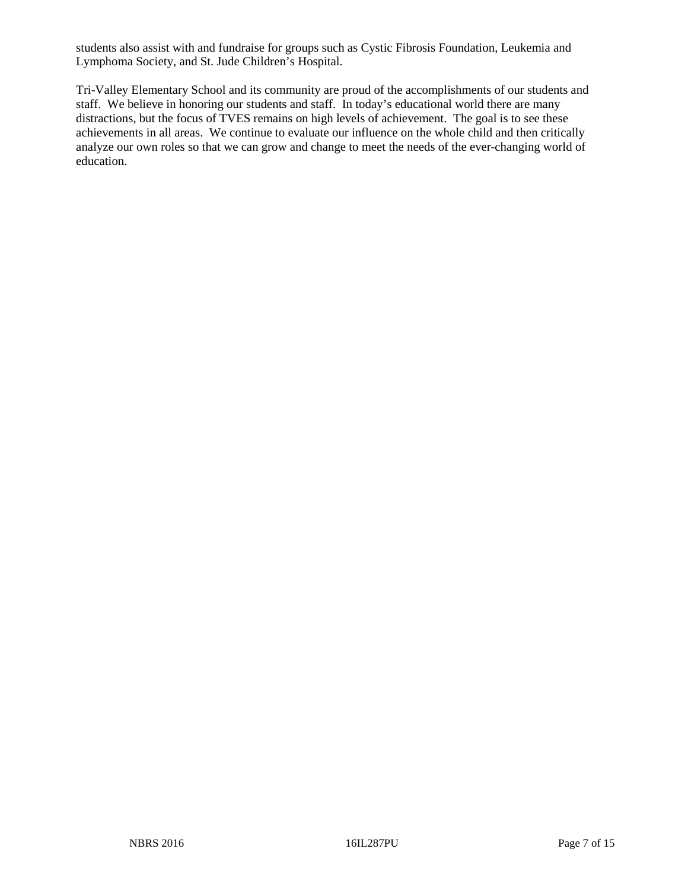students also assist with and fundraise for groups such as Cystic Fibrosis Foundation, Leukemia and Lymphoma Society, and St. Jude Children's Hospital.

Tri-Valley Elementary School and its community are proud of the accomplishments of our students and staff. We believe in honoring our students and staff. In today's educational world there are many distractions, but the focus of TVES remains on high levels of achievement. The goal is to see these achievements in all areas. We continue to evaluate our influence on the whole child and then critically analyze our own roles so that we can grow and change to meet the needs of the ever-changing world of education.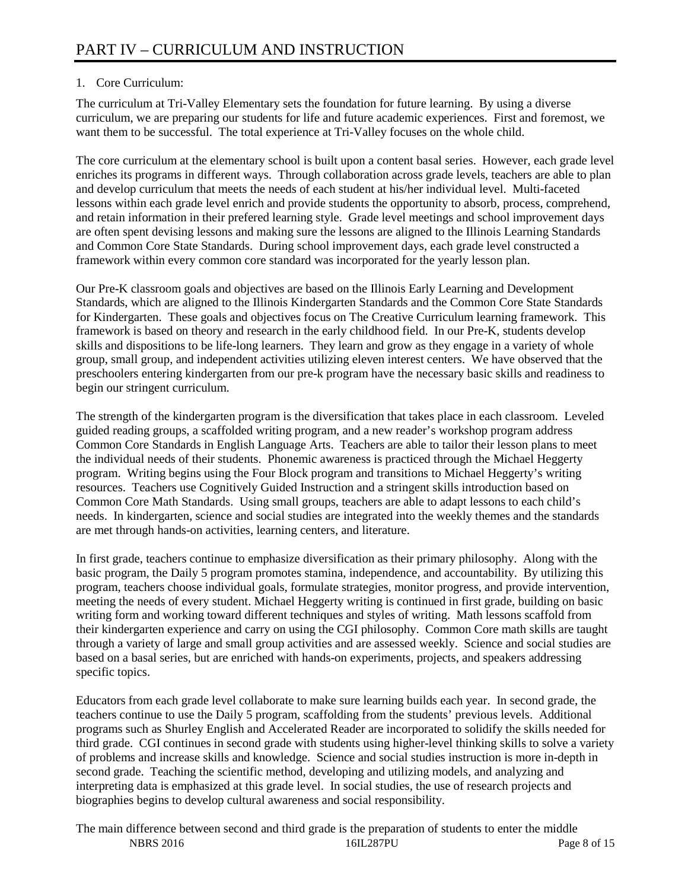# 1. Core Curriculum:

The curriculum at Tri-Valley Elementary sets the foundation for future learning. By using a diverse curriculum, we are preparing our students for life and future academic experiences. First and foremost, we want them to be successful. The total experience at Tri-Valley focuses on the whole child.

The core curriculum at the elementary school is built upon a content basal series. However, each grade level enriches its programs in different ways. Through collaboration across grade levels, teachers are able to plan and develop curriculum that meets the needs of each student at his/her individual level. Multi-faceted lessons within each grade level enrich and provide students the opportunity to absorb, process, comprehend, and retain information in their prefered learning style. Grade level meetings and school improvement days are often spent devising lessons and making sure the lessons are aligned to the Illinois Learning Standards and Common Core State Standards. During school improvement days, each grade level constructed a framework within every common core standard was incorporated for the yearly lesson plan.

Our Pre-K classroom goals and objectives are based on the Illinois Early Learning and Development Standards, which are aligned to the Illinois Kindergarten Standards and the Common Core State Standards for Kindergarten. These goals and objectives focus on The Creative Curriculum learning framework. This framework is based on theory and research in the early childhood field. In our Pre-K, students develop skills and dispositions to be life-long learners. They learn and grow as they engage in a variety of whole group, small group, and independent activities utilizing eleven interest centers. We have observed that the preschoolers entering kindergarten from our pre-k program have the necessary basic skills and readiness to begin our stringent curriculum.

The strength of the kindergarten program is the diversification that takes place in each classroom. Leveled guided reading groups, a scaffolded writing program, and a new reader's workshop program address Common Core Standards in English Language Arts. Teachers are able to tailor their lesson plans to meet the individual needs of their students. Phonemic awareness is practiced through the Michael Heggerty program. Writing begins using the Four Block program and transitions to Michael Heggerty's writing resources. Teachers use Cognitively Guided Instruction and a stringent skills introduction based on Common Core Math Standards. Using small groups, teachers are able to adapt lessons to each child's needs. In kindergarten, science and social studies are integrated into the weekly themes and the standards are met through hands-on activities, learning centers, and literature.

In first grade, teachers continue to emphasize diversification as their primary philosophy. Along with the basic program, the Daily 5 program promotes stamina, independence, and accountability. By utilizing this program, teachers choose individual goals, formulate strategies, monitor progress, and provide intervention, meeting the needs of every student. Michael Heggerty writing is continued in first grade, building on basic writing form and working toward different techniques and styles of writing. Math lessons scaffold from their kindergarten experience and carry on using the CGI philosophy. Common Core math skills are taught through a variety of large and small group activities and are assessed weekly. Science and social studies are based on a basal series, but are enriched with hands-on experiments, projects, and speakers addressing specific topics.

Educators from each grade level collaborate to make sure learning builds each year. In second grade, the teachers continue to use the Daily 5 program, scaffolding from the students' previous levels. Additional programs such as Shurley English and Accelerated Reader are incorporated to solidify the skills needed for third grade. CGI continues in second grade with students using higher-level thinking skills to solve a variety of problems and increase skills and knowledge. Science and social studies instruction is more in-depth in second grade. Teaching the scientific method, developing and utilizing models, and analyzing and interpreting data is emphasized at this grade level. In social studies, the use of research projects and biographies begins to develop cultural awareness and social responsibility.

NBRS 2016 **16IL287PU** Page 8 of 15 The main difference between second and third grade is the preparation of students to enter the middle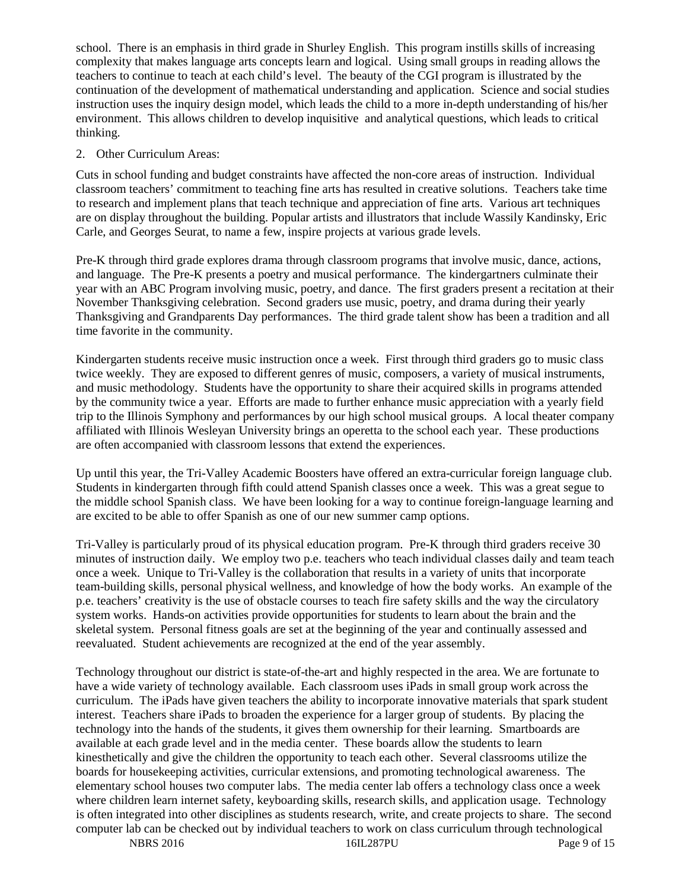school. There is an emphasis in third grade in Shurley English. This program instills skills of increasing complexity that makes language arts concepts learn and logical. Using small groups in reading allows the teachers to continue to teach at each child's level. The beauty of the CGI program is illustrated by the continuation of the development of mathematical understanding and application. Science and social studies instruction uses the inquiry design model, which leads the child to a more in-depth understanding of his/her environment. This allows children to develop inquisitive and analytical questions, which leads to critical thinking.

## 2. Other Curriculum Areas:

Cuts in school funding and budget constraints have affected the non-core areas of instruction. Individual classroom teachers' commitment to teaching fine arts has resulted in creative solutions. Teachers take time to research and implement plans that teach technique and appreciation of fine arts. Various art techniques are on display throughout the building. Popular artists and illustrators that include Wassily Kandinsky, Eric Carle, and Georges Seurat, to name a few, inspire projects at various grade levels.

Pre-K through third grade explores drama through classroom programs that involve music, dance, actions, and language. The Pre-K presents a poetry and musical performance. The kindergartners culminate their year with an ABC Program involving music, poetry, and dance. The first graders present a recitation at their November Thanksgiving celebration. Second graders use music, poetry, and drama during their yearly Thanksgiving and Grandparents Day performances. The third grade talent show has been a tradition and all time favorite in the community.

Kindergarten students receive music instruction once a week. First through third graders go to music class twice weekly. They are exposed to different genres of music, composers, a variety of musical instruments, and music methodology. Students have the opportunity to share their acquired skills in programs attended by the community twice a year. Efforts are made to further enhance music appreciation with a yearly field trip to the Illinois Symphony and performances by our high school musical groups. A local theater company affiliated with Illinois Wesleyan University brings an operetta to the school each year. These productions are often accompanied with classroom lessons that extend the experiences.

Up until this year, the Tri-Valley Academic Boosters have offered an extra-curricular foreign language club. Students in kindergarten through fifth could attend Spanish classes once a week. This was a great segue to the middle school Spanish class. We have been looking for a way to continue foreign-language learning and are excited to be able to offer Spanish as one of our new summer camp options.

Tri-Valley is particularly proud of its physical education program. Pre-K through third graders receive 30 minutes of instruction daily. We employ two p.e. teachers who teach individual classes daily and team teach once a week. Unique to Tri-Valley is the collaboration that results in a variety of units that incorporate team-building skills, personal physical wellness, and knowledge of how the body works. An example of the p.e. teachers' creativity is the use of obstacle courses to teach fire safety skills and the way the circulatory system works. Hands-on activities provide opportunities for students to learn about the brain and the skeletal system. Personal fitness goals are set at the beginning of the year and continually assessed and reevaluated. Student achievements are recognized at the end of the year assembly.

Technology throughout our district is state-of-the-art and highly respected in the area. We are fortunate to have a wide variety of technology available. Each classroom uses iPads in small group work across the curriculum. The iPads have given teachers the ability to incorporate innovative materials that spark student interest. Teachers share iPads to broaden the experience for a larger group of students. By placing the technology into the hands of the students, it gives them ownership for their learning. Smartboards are available at each grade level and in the media center. These boards allow the students to learn kinesthetically and give the children the opportunity to teach each other. Several classrooms utilize the boards for housekeeping activities, curricular extensions, and promoting technological awareness. The elementary school houses two computer labs. The media center lab offers a technology class once a week where children learn internet safety, keyboarding skills, research skills, and application usage. Technology is often integrated into other disciplines as students research, write, and create projects to share. The second computer lab can be checked out by individual teachers to work on class curriculum through technological

NBRS 2016 16IL287PU Page 9 of 15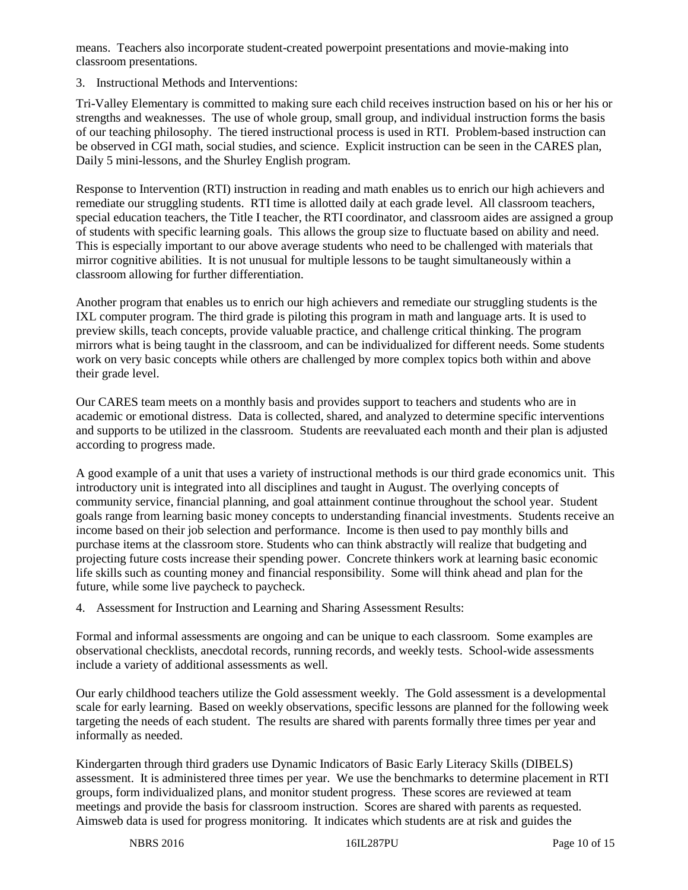means. Teachers also incorporate student-created powerpoint presentations and movie-making into classroom presentations.

3. Instructional Methods and Interventions:

Tri-Valley Elementary is committed to making sure each child receives instruction based on his or her his or strengths and weaknesses. The use of whole group, small group, and individual instruction forms the basis of our teaching philosophy. The tiered instructional process is used in RTI. Problem-based instruction can be observed in CGI math, social studies, and science. Explicit instruction can be seen in the CARES plan, Daily 5 mini-lessons, and the Shurley English program.

Response to Intervention (RTI) instruction in reading and math enables us to enrich our high achievers and remediate our struggling students. RTI time is allotted daily at each grade level. All classroom teachers, special education teachers, the Title I teacher, the RTI coordinator, and classroom aides are assigned a group of students with specific learning goals. This allows the group size to fluctuate based on ability and need. This is especially important to our above average students who need to be challenged with materials that mirror cognitive abilities. It is not unusual for multiple lessons to be taught simultaneously within a classroom allowing for further differentiation.

Another program that enables us to enrich our high achievers and remediate our struggling students is the IXL computer program. The third grade is piloting this program in math and language arts. It is used to preview skills, teach concepts, provide valuable practice, and challenge critical thinking. The program mirrors what is being taught in the classroom, and can be individualized for different needs. Some students work on very basic concepts while others are challenged by more complex topics both within and above their grade level.

Our CARES team meets on a monthly basis and provides support to teachers and students who are in academic or emotional distress. Data is collected, shared, and analyzed to determine specific interventions and supports to be utilized in the classroom. Students are reevaluated each month and their plan is adjusted according to progress made.

A good example of a unit that uses a variety of instructional methods is our third grade economics unit. This introductory unit is integrated into all disciplines and taught in August. The overlying concepts of community service, financial planning, and goal attainment continue throughout the school year. Student goals range from learning basic money concepts to understanding financial investments. Students receive an income based on their job selection and performance. Income is then used to pay monthly bills and purchase items at the classroom store. Students who can think abstractly will realize that budgeting and projecting future costs increase their spending power. Concrete thinkers work at learning basic economic life skills such as counting money and financial responsibility. Some will think ahead and plan for the future, while some live paycheck to paycheck.

4. Assessment for Instruction and Learning and Sharing Assessment Results:

Formal and informal assessments are ongoing and can be unique to each classroom. Some examples are observational checklists, anecdotal records, running records, and weekly tests. School-wide assessments include a variety of additional assessments as well.

Our early childhood teachers utilize the Gold assessment weekly. The Gold assessment is a developmental scale for early learning. Based on weekly observations, specific lessons are planned for the following week targeting the needs of each student. The results are shared with parents formally three times per year and informally as needed.

Kindergarten through third graders use Dynamic Indicators of Basic Early Literacy Skills (DIBELS) assessment. It is administered three times per year. We use the benchmarks to determine placement in RTI groups, form individualized plans, and monitor student progress. These scores are reviewed at team meetings and provide the basis for classroom instruction. Scores are shared with parents as requested. Aimsweb data is used for progress monitoring. It indicates which students are at risk and guides the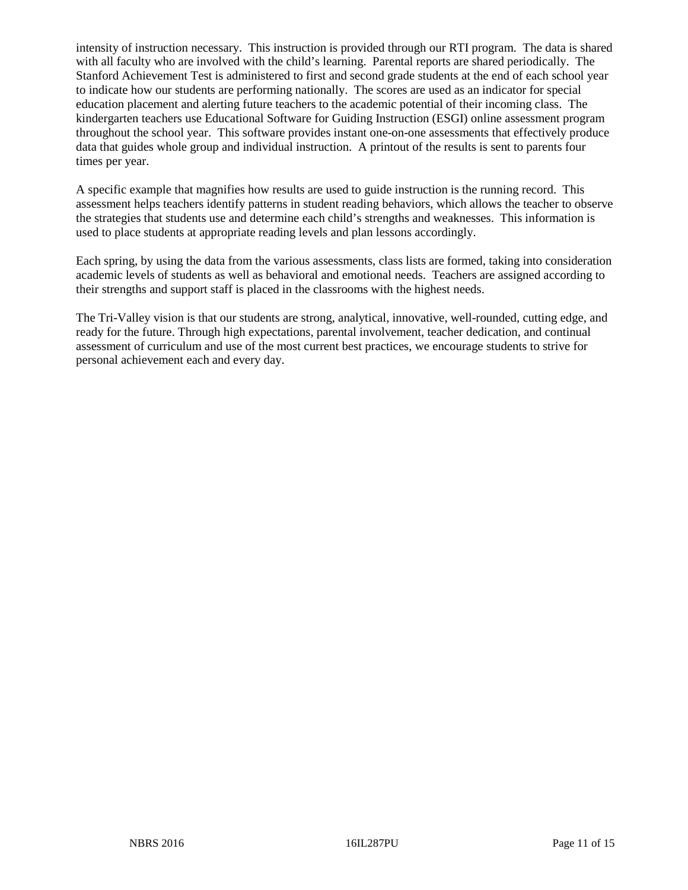intensity of instruction necessary. This instruction is provided through our RTI program. The data is shared with all faculty who are involved with the child's learning. Parental reports are shared periodically. The Stanford Achievement Test is administered to first and second grade students at the end of each school year to indicate how our students are performing nationally. The scores are used as an indicator for special education placement and alerting future teachers to the academic potential of their incoming class. The kindergarten teachers use Educational Software for Guiding Instruction (ESGI) online assessment program throughout the school year. This software provides instant one-on-one assessments that effectively produce data that guides whole group and individual instruction. A printout of the results is sent to parents four times per year.

A specific example that magnifies how results are used to guide instruction is the running record. This assessment helps teachers identify patterns in student reading behaviors, which allows the teacher to observe the strategies that students use and determine each child's strengths and weaknesses. This information is used to place students at appropriate reading levels and plan lessons accordingly.

Each spring, by using the data from the various assessments, class lists are formed, taking into consideration academic levels of students as well as behavioral and emotional needs. Teachers are assigned according to their strengths and support staff is placed in the classrooms with the highest needs.

The Tri-Valley vision is that our students are strong, analytical, innovative, well-rounded, cutting edge, and ready for the future. Through high expectations, parental involvement, teacher dedication, and continual assessment of curriculum and use of the most current best practices, we encourage students to strive for personal achievement each and every day.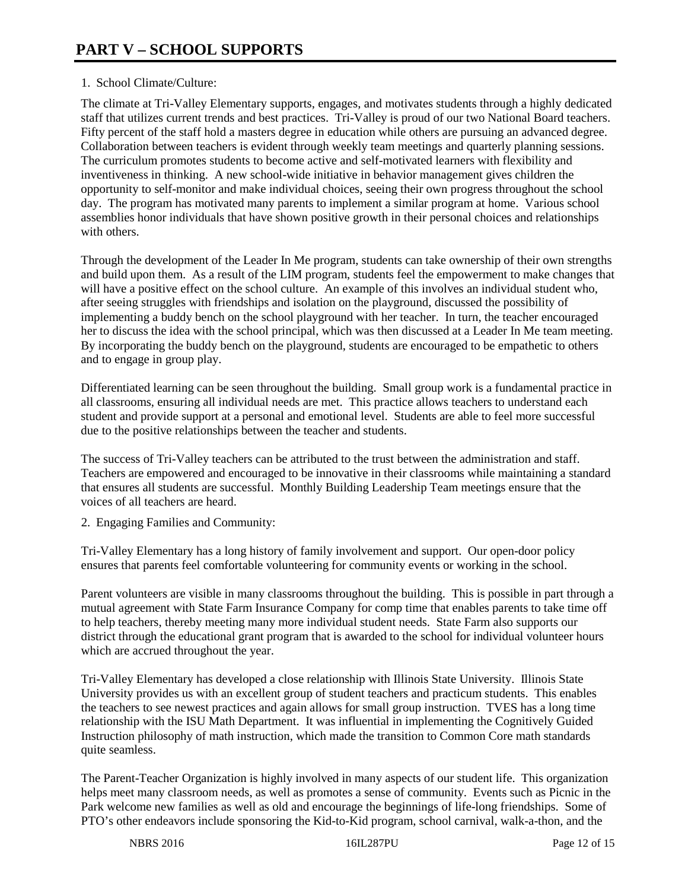## 1. School Climate/Culture:

The climate at Tri-Valley Elementary supports, engages, and motivates students through a highly dedicated staff that utilizes current trends and best practices. Tri-Valley is proud of our two National Board teachers. Fifty percent of the staff hold a masters degree in education while others are pursuing an advanced degree. Collaboration between teachers is evident through weekly team meetings and quarterly planning sessions. The curriculum promotes students to become active and self-motivated learners with flexibility and inventiveness in thinking. A new school-wide initiative in behavior management gives children the opportunity to self-monitor and make individual choices, seeing their own progress throughout the school day. The program has motivated many parents to implement a similar program at home. Various school assemblies honor individuals that have shown positive growth in their personal choices and relationships with others.

Through the development of the Leader In Me program, students can take ownership of their own strengths and build upon them. As a result of the LIM program, students feel the empowerment to make changes that will have a positive effect on the school culture. An example of this involves an individual student who, after seeing struggles with friendships and isolation on the playground, discussed the possibility of implementing a buddy bench on the school playground with her teacher. In turn, the teacher encouraged her to discuss the idea with the school principal, which was then discussed at a Leader In Me team meeting. By incorporating the buddy bench on the playground, students are encouraged to be empathetic to others and to engage in group play.

Differentiated learning can be seen throughout the building. Small group work is a fundamental practice in all classrooms, ensuring all individual needs are met. This practice allows teachers to understand each student and provide support at a personal and emotional level. Students are able to feel more successful due to the positive relationships between the teacher and students.

The success of Tri-Valley teachers can be attributed to the trust between the administration and staff. Teachers are empowered and encouraged to be innovative in their classrooms while maintaining a standard that ensures all students are successful. Monthly Building Leadership Team meetings ensure that the voices of all teachers are heard.

2. Engaging Families and Community:

Tri-Valley Elementary has a long history of family involvement and support. Our open-door policy ensures that parents feel comfortable volunteering for community events or working in the school.

Parent volunteers are visible in many classrooms throughout the building. This is possible in part through a mutual agreement with State Farm Insurance Company for comp time that enables parents to take time off to help teachers, thereby meeting many more individual student needs. State Farm also supports our district through the educational grant program that is awarded to the school for individual volunteer hours which are accrued throughout the year.

Tri-Valley Elementary has developed a close relationship with Illinois State University. Illinois State University provides us with an excellent group of student teachers and practicum students. This enables the teachers to see newest practices and again allows for small group instruction. TVES has a long time relationship with the ISU Math Department. It was influential in implementing the Cognitively Guided Instruction philosophy of math instruction, which made the transition to Common Core math standards quite seamless.

The Parent-Teacher Organization is highly involved in many aspects of our student life. This organization helps meet many classroom needs, as well as promotes a sense of community. Events such as Picnic in the Park welcome new families as well as old and encourage the beginnings of life-long friendships. Some of PTO's other endeavors include sponsoring the Kid-to-Kid program, school carnival, walk-a-thon, and the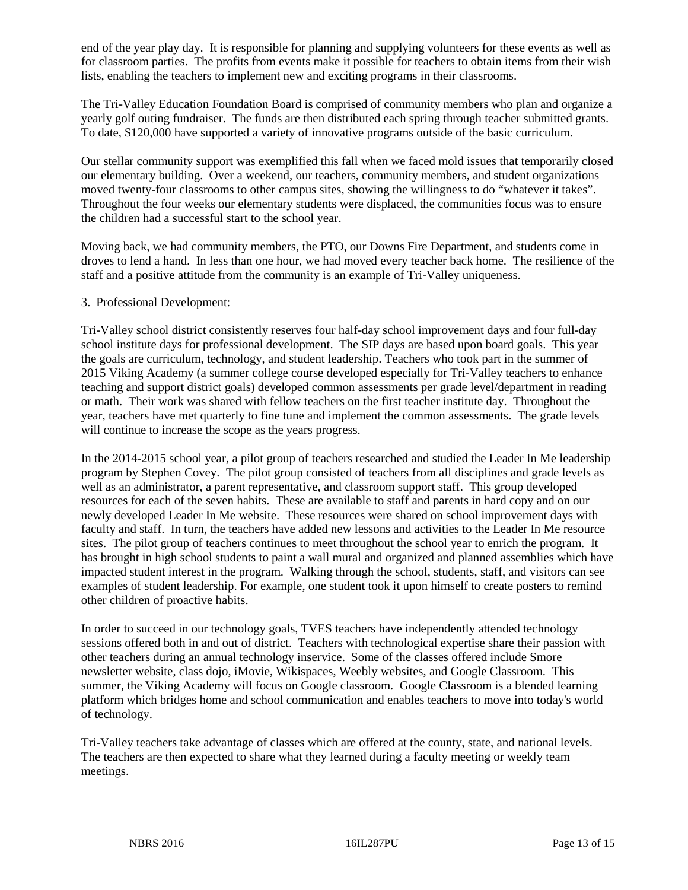end of the year play day. It is responsible for planning and supplying volunteers for these events as well as for classroom parties. The profits from events make it possible for teachers to obtain items from their wish lists, enabling the teachers to implement new and exciting programs in their classrooms.

The Tri-Valley Education Foundation Board is comprised of community members who plan and organize a yearly golf outing fundraiser. The funds are then distributed each spring through teacher submitted grants. To date, \$120,000 have supported a variety of innovative programs outside of the basic curriculum.

Our stellar community support was exemplified this fall when we faced mold issues that temporarily closed our elementary building. Over a weekend, our teachers, community members, and student organizations moved twenty-four classrooms to other campus sites, showing the willingness to do "whatever it takes". Throughout the four weeks our elementary students were displaced, the communities focus was to ensure the children had a successful start to the school year.

Moving back, we had community members, the PTO, our Downs Fire Department, and students come in droves to lend a hand. In less than one hour, we had moved every teacher back home. The resilience of the staff and a positive attitude from the community is an example of Tri-Valley uniqueness.

## 3. Professional Development:

Tri-Valley school district consistently reserves four half-day school improvement days and four full-day school institute days for professional development. The SIP days are based upon board goals. This year the goals are curriculum, technology, and student leadership. Teachers who took part in the summer of 2015 Viking Academy (a summer college course developed especially for Tri-Valley teachers to enhance teaching and support district goals) developed common assessments per grade level/department in reading or math. Their work was shared with fellow teachers on the first teacher institute day. Throughout the year, teachers have met quarterly to fine tune and implement the common assessments. The grade levels will continue to increase the scope as the years progress.

In the 2014-2015 school year, a pilot group of teachers researched and studied the Leader In Me leadership program by Stephen Covey. The pilot group consisted of teachers from all disciplines and grade levels as well as an administrator, a parent representative, and classroom support staff. This group developed resources for each of the seven habits. These are available to staff and parents in hard copy and on our newly developed Leader In Me website. These resources were shared on school improvement days with faculty and staff. In turn, the teachers have added new lessons and activities to the Leader In Me resource sites. The pilot group of teachers continues to meet throughout the school year to enrich the program. It has brought in high school students to paint a wall mural and organized and planned assemblies which have impacted student interest in the program. Walking through the school, students, staff, and visitors can see examples of student leadership. For example, one student took it upon himself to create posters to remind other children of proactive habits.

In order to succeed in our technology goals, TVES teachers have independently attended technology sessions offered both in and out of district. Teachers with technological expertise share their passion with other teachers during an annual technology inservice. Some of the classes offered include Smore newsletter website, class dojo, iMovie, Wikispaces, Weebly websites, and Google Classroom. This summer, the Viking Academy will focus on Google classroom. Google Classroom is a blended learning platform which bridges home and school communication and enables teachers to move into today's world of technology.

Tri-Valley teachers take advantage of classes which are offered at the county, state, and national levels. The teachers are then expected to share what they learned during a faculty meeting or weekly team meetings.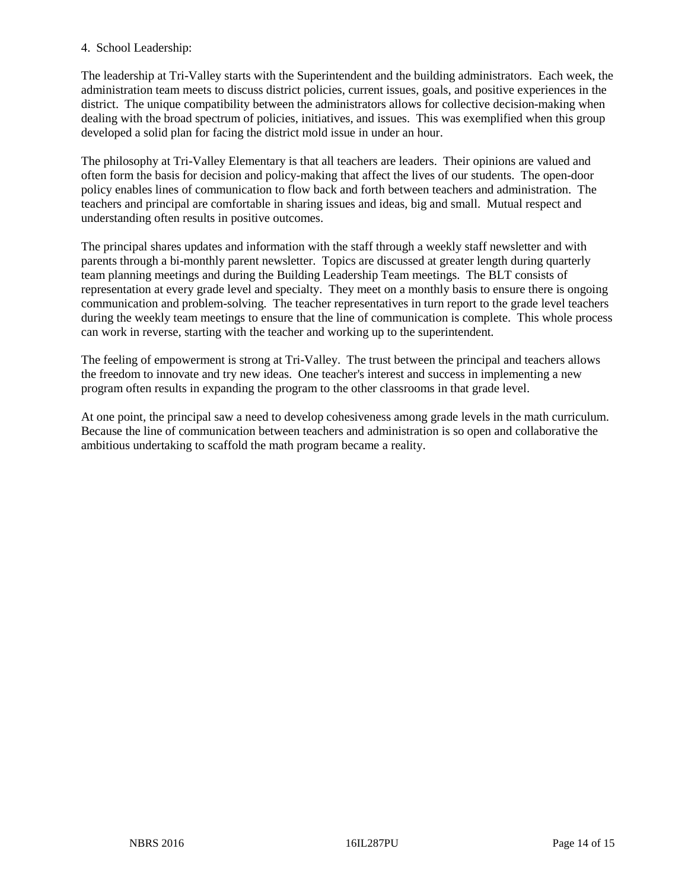## 4. School Leadership:

The leadership at Tri-Valley starts with the Superintendent and the building administrators. Each week, the administration team meets to discuss district policies, current issues, goals, and positive experiences in the district. The unique compatibility between the administrators allows for collective decision-making when dealing with the broad spectrum of policies, initiatives, and issues. This was exemplified when this group developed a solid plan for facing the district mold issue in under an hour.

The philosophy at Tri-Valley Elementary is that all teachers are leaders. Their opinions are valued and often form the basis for decision and policy-making that affect the lives of our students. The open-door policy enables lines of communication to flow back and forth between teachers and administration. The teachers and principal are comfortable in sharing issues and ideas, big and small. Mutual respect and understanding often results in positive outcomes.

The principal shares updates and information with the staff through a weekly staff newsletter and with parents through a bi-monthly parent newsletter. Topics are discussed at greater length during quarterly team planning meetings and during the Building Leadership Team meetings. The BLT consists of representation at every grade level and specialty. They meet on a monthly basis to ensure there is ongoing communication and problem-solving. The teacher representatives in turn report to the grade level teachers during the weekly team meetings to ensure that the line of communication is complete. This whole process can work in reverse, starting with the teacher and working up to the superintendent.

The feeling of empowerment is strong at Tri-Valley. The trust between the principal and teachers allows the freedom to innovate and try new ideas. One teacher's interest and success in implementing a new program often results in expanding the program to the other classrooms in that grade level.

At one point, the principal saw a need to develop cohesiveness among grade levels in the math curriculum. Because the line of communication between teachers and administration is so open and collaborative the ambitious undertaking to scaffold the math program became a reality.